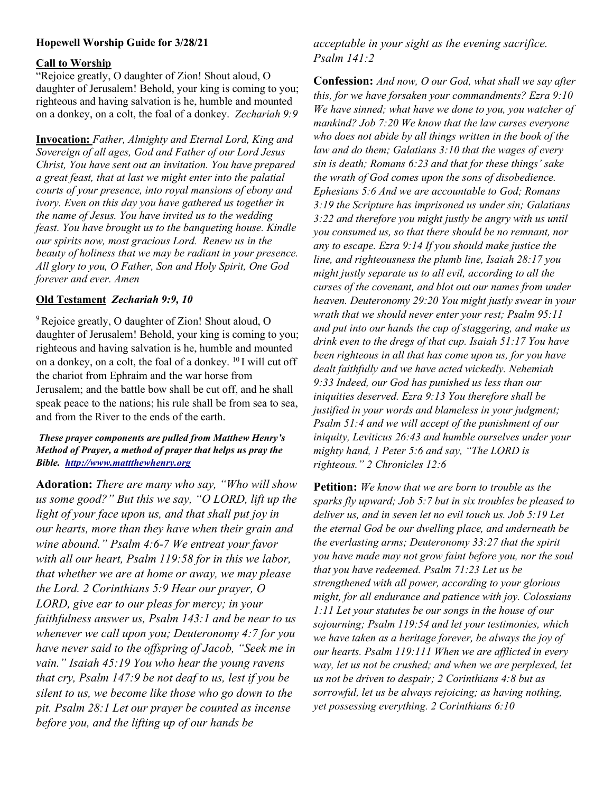# Hopewell Worship Guide for 3/28/21

#### Call to Worship

"Rejoice greatly, O daughter of Zion! Shout aloud, O daughter of Jerusalem! Behold, your king is coming to you; righteous and having salvation is he, humble and mounted on a donkey, on a colt, the foal of a donkey. Zechariah 9:9

Invocation: Father, Almighty and Eternal Lord, King and Sovereign of all ages, God and Father of our Lord Jesus Christ, You have sent out an invitation. You have prepared a great feast, that at last we might enter into the palatial courts of your presence, into royal mansions of ebony and ivory. Even on this day you have gathered us together in the name of Jesus. You have invited us to the wedding feast. You have brought us to the banqueting house. Kindle our spirits now, most gracious Lord. Renew us in the beauty of holiness that we may be radiant in your presence. All glory to you, O Father, Son and Holy Spirit, One God forever and ever. Amen

### Old Testament Zechariah 9:9, 10

<sup>9</sup>Rejoice greatly, O daughter of Zion! Shout aloud, O daughter of Jerusalem! Behold, your king is coming to you; righteous and having salvation is he, humble and mounted on a donkey, on a colt, the foal of a donkey. <sup>10</sup>I will cut off the chariot from Ephraim and the war horse from Jerusalem; and the battle bow shall be cut off, and he shall speak peace to the nations; his rule shall be from sea to sea, and from the River to the ends of the earth.

### These prayer components are pulled from Matthew Henry's Method of Prayer, a method of prayer that helps us pray the Bible. http://www.mattthewhenry.org

Adoration: There are many who say, "Who will show us some good?" But this we say, "O LORD, lift up the light of your face upon us, and that shall put joy in our hearts, more than they have when their grain and wine abound." Psalm 4:6-7 We entreat your favor with all our heart, Psalm 119:58 for in this we labor, that whether we are at home or away, we may please the Lord. 2 Corinthians 5:9 Hear our prayer, O LORD, give ear to our pleas for mercy; in your faithfulness answer us, Psalm 143:1 and be near to us whenever we call upon you; Deuteronomy 4:7 for you have never said to the offspring of Jacob, "Seek me in vain." Isaiah 45:19 You who hear the young ravens that cry, Psalm 147:9 be not deaf to us, lest if you be silent to us, we become like those who go down to the pit. Psalm 28:1 Let our prayer be counted as incense before you, and the lifting up of our hands be

acceptable in your sight as the evening sacrifice. Psalm 141:2

Confession: And now, O our God, what shall we say after this, for we have forsaken your commandments? Ezra 9:10 We have sinned; what have we done to you, you watcher of mankind? Job 7:20 We know that the law curses everyone who does not abide by all things written in the book of the law and do them; Galatians 3:10 that the wages of every sin is death; Romans 6:23 and that for these things' sake the wrath of God comes upon the sons of disobedience. Ephesians 5:6 And we are accountable to God; Romans 3:19 the Scripture has imprisoned us under sin; Galatians 3:22 and therefore you might justly be angry with us until you consumed us, so that there should be no remnant, nor any to escape. Ezra 9:14 If you should make justice the line, and righteousness the plumb line, Isaiah 28:17 you might justly separate us to all evil, according to all the curses of the covenant, and blot out our names from under heaven. Deuteronomy 29:20 You might justly swear in your wrath that we should never enter your rest; Psalm 95:11 and put into our hands the cup of staggering, and make us drink even to the dregs of that cup. Isaiah 51:17 You have been righteous in all that has come upon us, for you have dealt faithfully and we have acted wickedly. Nehemiah 9:33 Indeed, our God has punished us less than our iniquities deserved. Ezra 9:13 You therefore shall be justified in your words and blameless in your judgment; Psalm 51:4 and we will accept of the punishment of our iniquity, Leviticus 26:43 and humble ourselves under your mighty hand, 1 Peter 5:6 and say, "The LORD is righteous." 2 Chronicles 12:6

**Petition:** We know that we are born to trouble as the sparks fly upward; Job 5:7 but in six troubles be pleased to deliver us, and in seven let no evil touch us. Job 5:19 Let the eternal God be our dwelling place, and underneath be the everlasting arms; Deuteronomy 33:27 that the spirit you have made may not grow faint before you, nor the soul that you have redeemed. Psalm 71:23 Let us be strengthened with all power, according to your glorious might, for all endurance and patience with joy. Colossians 1:11 Let your statutes be our songs in the house of our sojourning; Psalm 119:54 and let your testimonies, which we have taken as a heritage forever, be always the joy of our hearts. Psalm 119:111 When we are afflicted in every way, let us not be crushed; and when we are perplexed, let us not be driven to despair; 2 Corinthians 4:8 but as sorrowful, let us be always rejoicing; as having nothing, yet possessing everything. 2 Corinthians 6:10